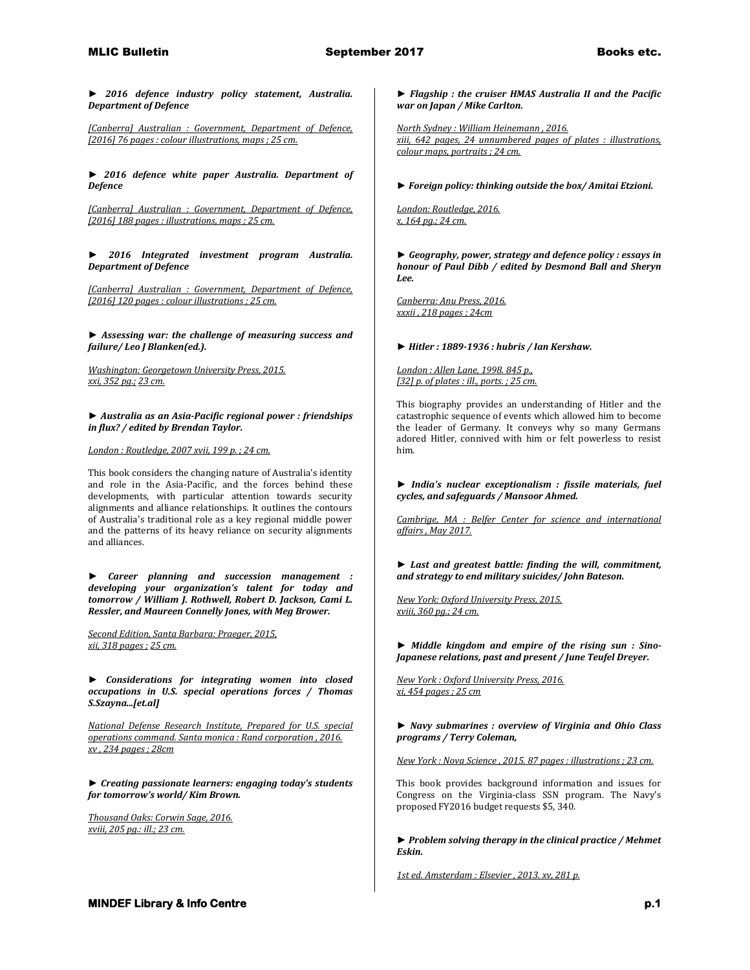*► 2016 defence industry policy statement, Australia. Department of Defence*

*[Canberra] Australian : Government, Department of Defence, [2016] 76 pages : colour illustrations, maps ; 25 cm.* 

*► 2016 defence white paper Australia. Department of Defence*

*[Canberra] Australian : Government, Department of Defence, [2016] 188 pages : illustrations, maps ; 25 cm.* 

*► 2016 Integrated investment program Australia. Department of Defence*

*[Canberra] Australian : Government, Department of Defence, [2016] 120 pages : colour illustrations ; 25 cm.* 

*► Assessing war: the challenge of measuring success and failure/ Leo J Blanken(ed.).*

*Washington: Georgetown University Press, 2015. xxi, 352 pg.; 23 cm.* 

*► Australia as an Asia-Pacific regional power : friendships in flux? / edited by Brendan Taylor.*

## *London : Routledge, 2007 xvii, 199 p. ; 24 cm.*

This book considers the changing nature of Australia's identity and role in the Asia-Pacific, and the forces behind these developments, with particular attention towards security alignments and alliance relationships. It outlines the contours of Australia's traditional role as a key regional middle power and the patterns of its heavy reliance on security alignments and alliances.

*► Career planning and succession management : developing your organization's talent for today and tomorrow / William J. Rothwell, Robert D. Jackson, Cami L. Ressler, and Maureen Connelly Jones, with Meg Brower.*

*Second Edition, Santa Barbara: Praeger, 2015, xii, 318 pages ; 25 cm.* 

*► Considerations for integrating women into closed occupations in U.S. special operations forces / Thomas S.Szayna...[et.al]*

*National Defense Research Institute, Prepared for U.S. special operations command. Santa monica : Rand corporation , 2016. xv , 234 pages ; 28cm* 

*► Creating passionate learners: engaging today's students for tomorrow's world/ Kim Brown.*

*Thousand Oaks: Corwin Sage, 2016. xviii, 205 pg.: ill.; 23 cm.* 

*► Flagship : the cruiser HMAS Australia II and the Pacific war on Japan / Mike Carlton.*

*North Sydney : William Heinemann , 2016. xiii, 642 pages, 24 unnumbered pages of plates : illustrations, colour maps, portraits ; 24 cm.* 

*► Foreign policy: thinking outside the box/ Amitai Etzioni.*

*London: Routledge, 2016. x, 164 pg.; 24 cm.* 

*► Geography, power, strategy and defence policy : essays in honour of Paul Dibb / edited by Desmond Ball and Sheryn Lee.*

*Canberra: Anu Press, 2016. xxxii , 218 pages ; 24cm* 

*► Hitler : 1889-1936 : hubris / Ian Kershaw.*

*London : Allen Lane, 1998. 845 p., [32] p. of plates : ill., ports. ; 25 cm.*

This biography provides an understanding of Hitler and the catastrophic sequence of events which allowed him to become the leader of Germany. It conveys why so many Germans adored Hitler, connived with him or felt powerless to resist him.

*► India's nuclear exceptionalism : fissile materials, fuel cycles, and safeguards / Mansoor Ahmed.*

*Cambrige, MA : Belfer Center for science and international affairs , May 2017.* 

*► Last and greatest battle: finding the will, commitment, and strategy to end military suicides/ John Bateson.*

*New York: Oxford University Press, 2015. xviii, 360 pg.; 24 cm.* 

*► Middle kingdom and empire of the rising sun : Sino-Japanese relations, past and present / June Teufel Dreyer.*

*New York : Oxford University Press, 2016. xi, 454 pages ; 25 cm* 

*► Navy submarines : overview of Virginia and Ohio Class programs / Terry Coleman,*

*New York : Nova Science , 2015. 87 pages : illustrations ; 23 cm.*

This book provides background information and issues for Congress on the Virginia-class SSN program. The Navy's proposed FY2016 budget requests \$5, 340.

*► Problem solving therapy in the clinical practice / Mehmet Eskin.*

*1st ed. Amsterdam : Elsevier , 2013. xv, 281 p.*